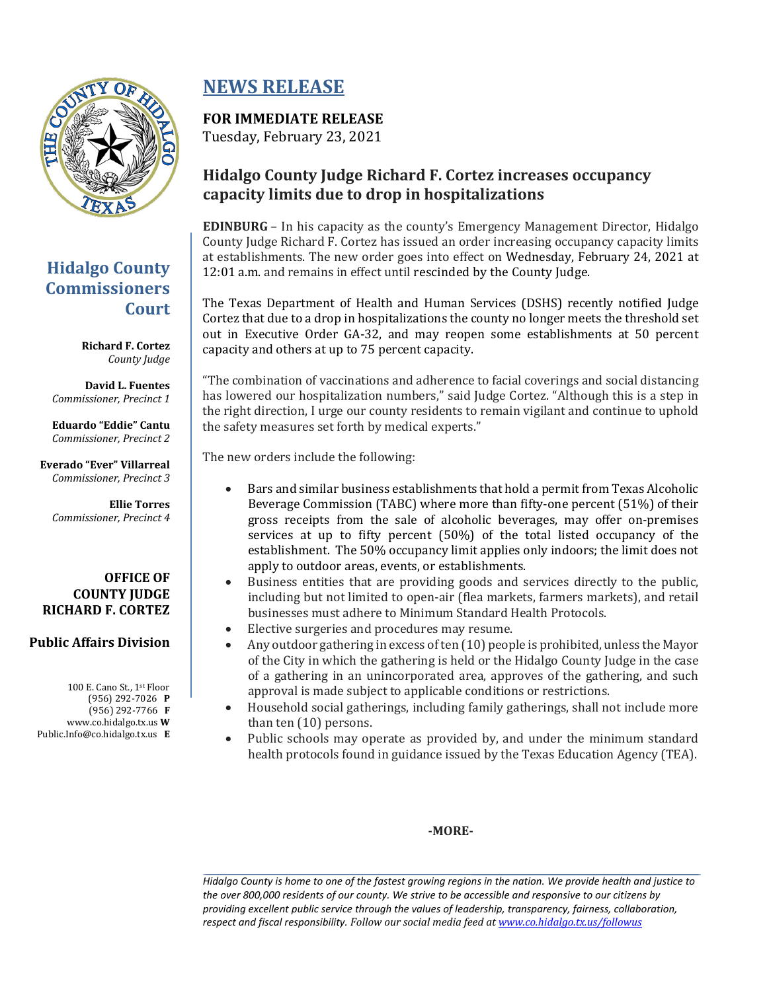

## **Hidalgo County Commissioners Court**

**Richard F. Cortez** *County Judge*

**David L. Fuentes** *Commissioner, Precinct 1*

**Eduardo "Eddie" Cantu** *Commissioner, Precinct 2*

**Everado "Ever" Villarreal** *Commissioner, Precinct 3*

**Ellie Torres** *Commissioner, Precinct 4*

#### **OFFICE OF COUNTY JUDGE RICHARD F. CORTEZ**

#### **Public Affairs Division**

100 E. Cano St., 1st Floor (956) 292-7026 **P** (956) 292-7766 **F** www.co.hidalgo.tx.us **W** Public.Info@co.hidalgo.tx.us **E**

# **NEWS RELEASE**

### **FOR IMMEDIATE RELEASE**

Tuesday, February 23, 2021

### **Hidalgo County Judge Richard F. Cortez increases occupancy capacity limits due to drop in hospitalizations**

**EDINBURG** – In his capacity as the county's Emergency Management Director, Hidalgo County Judge Richard F. Cortez has issued an order increasing occupancy capacity limits at establishments. The new order goes into effect on Wednesday, February 24, 2021 at 12:01 a.m. and remains in effect until rescinded by the County Judge.

The Texas Department of Health and Human Services (DSHS) recently notified Judge Cortez that due to a drop in hospitalizations the county no longer meets the threshold set out in Executive Order GA-32, and may reopen some establishments at 50 percent capacity and others at up to 75 percent capacity.

"The combination of vaccinations and adherence to facial coverings and social distancing has lowered our hospitalization numbers," said Judge Cortez. "Although this is a step in the right direction, I urge our county residents to remain vigilant and continue to uphold the safety measures set forth by medical experts."

The new orders include the following:

- Bars and similar business establishments that hold a permit from Texas Alcoholic Beverage Commission (TABC) where more than fifty-one percent (51%) of their gross receipts from the sale of alcoholic beverages, may offer on-premises services at up to fifty percent (50%) of the total listed occupancy of the establishment. The 50% occupancy limit applies only indoors; the limit does not apply to outdoor areas, events, or establishments.
- Business entities that are providing goods and services directly to the public, including but not limited to open-air (flea markets, farmers markets), and retail businesses must adhere to Minimum Standard Health Protocols.
- Elective surgeries and procedures may resume.
- Any outdoor gathering in excess of ten (10) people is prohibited, unless the Mayor of the City in which the gathering is held or the Hidalgo County Judge in the case of a gathering in an unincorporated area, approves of the gathering, and such approval is made subject to applicable conditions or restrictions.
- Household social gatherings, including family gatherings, shall not include more than ten (10) persons.
- Public schools may operate as provided by, and under the minimum standard health protocols found in guidance issued by the Texas Education Agency (TEA).

#### **-MORE-**

*Hidalgo County is home to one of the fastest growing regions in the nation. We provide health and justice to the over 800,000 residents of our county. We strive to be accessible and responsive to our citizens by providing excellent public service through the values of leadership, transparency, fairness, collaboration, respect and fiscal responsibility. Follow our social media feed a[t www.co.hidalgo.tx.us/followus](http://www.co.hidalgo.tx.us/followus)*